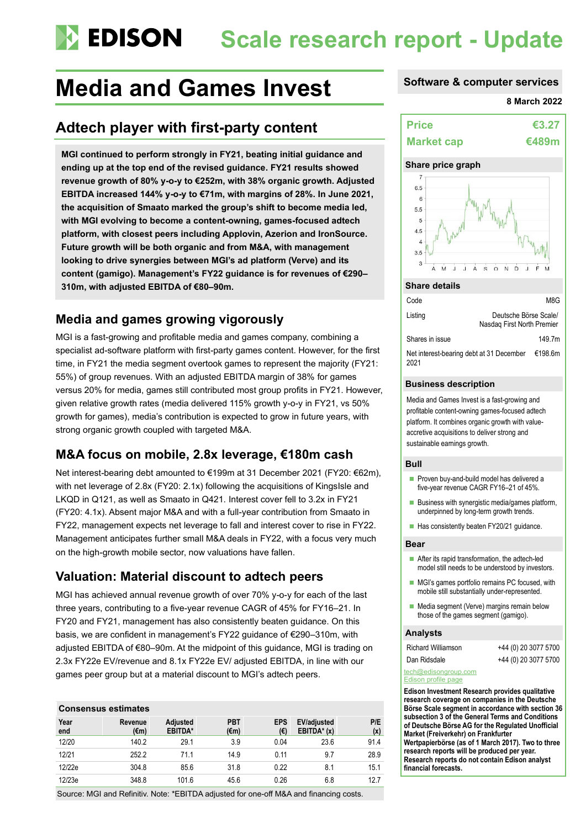# **Scale research report - Update**

## **Media and Games Invest Software & computer services**

## **Adtech player with first-party content**

**MGI continued to perform strongly in FY21, beating initial guidance and ending up at the top end of the revised guidance. FY21 results showed revenue growth of 80% y-o-y to €252m, with 38% organic growth. Adjusted EBITDA increased 144% y-o-y to €71m, with margins of 28%. In June 2021, the acquisition of Smaato marked the group's shift to become media led, with MGI evolving to become a content-owning, games-focused adtech platform, with closest peers including Applovin, Azerion and IronSource. Future growth will be both organic and from M&A, with management looking to drive synergies between MGI's ad platform (Verve) and its content (gamigo). Management's FY22 guidance is for revenues of €290– 310m, with adjusted EBITDA of €80–90m.**

### **Media and games growing vigorously**

MGI is a fast-growing and profitable media and games company, combining a specialist ad-software platform with first-party games content. However, for the first time, in FY21 the media segment overtook games to represent the majority (FY21: 55%) of group revenues. With an adjusted EBITDA margin of 38% for games versus 20% for media, games still contributed most group profits in FY21. However, given relative growth rates (media delivered 115% growth y-o-y in FY21, vs 50% growth for games), media's contribution is expected to grow in future years, with strong organic growth coupled with targeted M&A.

### **M&A focus on mobile, 2.8x leverage, €180m cash**

Net interest-bearing debt amounted to €199m at 31 December 2021 (FY20: €62m), with net leverage of 2.8x (FY20: 2.1x) following the acquisitions of KingsIsle and LKQD in Q121, as well as Smaato in Q421. Interest cover fell to 3.2x in FY21 (FY20: 4.1x). Absent major M&A and with a full-year contribution from Smaato in FY22, management expects net leverage to fall and interest cover to rise in FY22. Management anticipates further small M&A deals in FY22, with a focus very much on the high-growth mobile sector, now valuations have fallen.

### **Valuation: Material discount to adtech peers**

MGI has achieved annual revenue growth of over 70% y-o-y for each of the last three years, contributing to a five-year revenue CAGR of 45% for FY16–21. In FY20 and FY21, management has also consistently beaten guidance. On this basis, we are confident in management's FY22 guidance of €290–310m, with adjusted EBITDA of €80–90m. At the midpoint of this guidance, MGI is trading on 2.3x FY22e EV/revenue and 8.1x FY22e EV/ adjusted EBITDA, in line with our games peer group but at a material discount to MGI's adtech peers.

### **Consensus estimates**

| Year<br>end | Revenue<br>$(\epsilon m)$ | <b>Adjusted</b><br><b>EBITDA*</b> | <b>PBT</b><br>$(\epsilon m)$ | <b>EPS</b><br>$(\epsilon)$ | <b>EV/adjusted</b><br>$EBITDA* (x)$ | P/E<br>(x) |
|-------------|---------------------------|-----------------------------------|------------------------------|----------------------------|-------------------------------------|------------|
| 12/20       | 140.2                     | 29.1                              | 3.9                          | 0.04                       | 23.6                                | 91.4       |
| 12/21       | 252.2                     | 71.1                              | 14.9                         | 0.11                       | 9.7                                 | 28.9       |
| 12/22e      | 304.8                     | 85.6                              | 31.8                         | 0.22                       | 8.1                                 | 15.1       |
| 12/23e      | 348.8                     | 101.6                             | 45.6                         | 0.26                       | 6.8                                 | 12.7       |

Source: MGI and Refinitiv. Note: \*EBITDA adjusted for one-off M&A and financing costs.

#### **8 March 2022**



### **Share price graph**



#### **Share details**

| Code                                                     |                                                     | M8G    |  |  |
|----------------------------------------------------------|-----------------------------------------------------|--------|--|--|
| Listing                                                  | Deutsche Börse Scale/<br>Nasdag First North Premier |        |  |  |
| Shares in issue                                          |                                                     | 149.7m |  |  |
| Net interest-bearing debt at 31 December €198.6m<br>2021 |                                                     |        |  |  |

### **Business description**

Media and Games Invest is a fast-growing and profitable content-owning games-focused adtech platform. It combines organic growth with valueaccretive acquisitions to deliver strong and sustainable earnings growth.

#### **Bull**

- Proven buy-and-build model has delivered a five-year revenue CAGR FY16–21 of 45%.
- Business with synergistic media/games platform, underpinned by long-term growth trends.
- Has consistently beaten FY20/21 guidance.

#### **Bear**

- After its rapid transformation, the adtech-led model still needs to be understood by investors.
- MGI's games portfolio remains PC focused, with mobile still substantially under-represented.
- Media segment (Verve) margins remain below those of the games segment (gamigo).

#### **Analysts**

| <b>Richard Williamson</b> |  |
|---------------------------|--|
| Dan Ridsdale              |  |

+44 (0) 20 3077 5700

+44 (0) 20 3077 5700

#### [tech@edisongroup.com](mailto:tech@edisongroup.com) [Edison profile page](https://www.edisongroup.com/company/media-and-games-invest/2943/)

**Edison Investment Research provides qualitative research coverage on companies in the Deutsche Börse Scale segment in accordance with section 36 subsection 3 of the General Terms and Conditions of Deutsche Börse AG for the Regulated Unofficial Market (Freiverkehr) on Frankfurter Wertpapierbörse (as of 1 March 2017). Two to three research reports will be produced per year. Research reports do not contain Edison analyst financial forecasts.**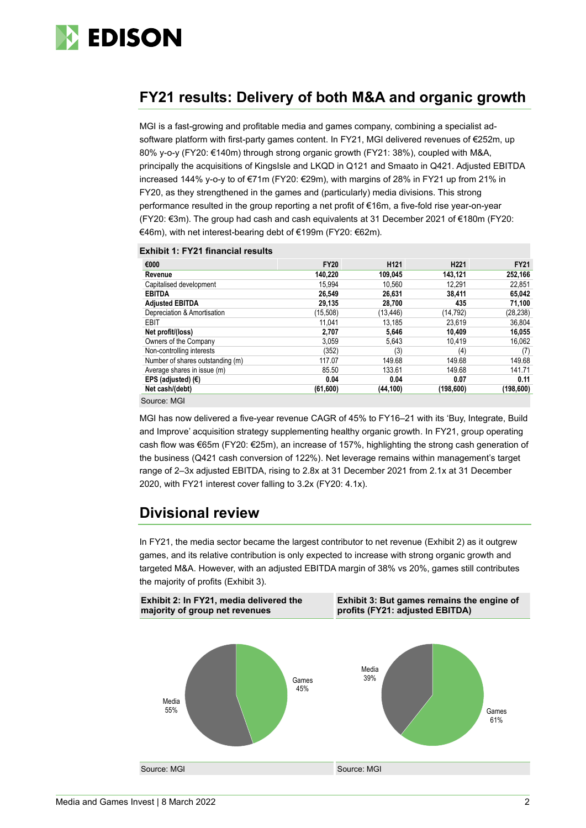

### **FY21 results: Delivery of both M&A and organic growth**

MGI is a fast-growing and profitable media and games company, combining a specialist adsoftware platform with first-party games content. In FY21, MGI delivered revenues of €252m, up 80% y-o-y (FY20: €140m) through strong organic growth (FY21: 38%), coupled with M&A, principally the acquisitions of KingsIsle and LKQD in Q121 and Smaato in Q421. Adjusted EBITDA increased 144% y-o-y to of €71m (FY20: €29m), with margins of 28% in FY21 up from 21% in FY20, as they strengthened in the games and (particularly) media divisions. This strong performance resulted in the group reporting a net profit of €16m, a five-fold rise year-on-year (FY20: €3m). The group had cash and cash equivalents at 31 December 2021 of €180m (FY20: €46m), with net interest-bearing debt of €199m (FY20: €62m).

|  |  |  | <b>Exhibit 1: FY21 financial results</b> |  |  |
|--|--|--|------------------------------------------|--|--|
|--|--|--|------------------------------------------|--|--|

| €000                             | <b>FY20</b> | H <sub>121</sub> | H <sub>221</sub> | <b>FY21</b> |
|----------------------------------|-------------|------------------|------------------|-------------|
| Revenue                          | 140.220     | 109.045          | 143.121          | 252,166     |
| Capitalised development          | 15.994      | 10.560           | 12.291           | 22,851      |
| <b>EBITDA</b>                    | 26.549      | 26,631           | 38.411           | 65,042      |
| <b>Adjusted EBITDA</b>           | 29,135      | 28,700           | 435              | 71,100      |
| Depreciation & Amortisation      | (15,508)    | (13, 446)        | (14, 792)        | (28, 238)   |
| <b>EBIT</b>                      | 11.041      | 13.185           | 23.619           | 36,804      |
| Net profit/(loss)                | 2,707       | 5,646            | 10.409           | 16,055      |
| Owners of the Company            | 3,059       | 5,643            | 10,419           | 16,062      |
| Non-controlling interests        | (352)       | (3)              | (4)              | (7)         |
| Number of shares outstanding (m) | 117.07      | 149.68           | 149.68           | 149.68      |
| Average shares in issue (m)      | 85.50       | 133.61           | 149.68           | 141.71      |
| EPS (adjusted) $(E)$             | 0.04        | 0.04             | 0.07             | 0.11        |
| Net cash/(debt)                  | (61,600)    | (44, 100)        | (198, 600)       | (198, 600)  |
| Source: MGI                      |             |                  |                  |             |

MGI has now delivered a five-year revenue CAGR of 45% to FY16–21 with its 'Buy, Integrate, Build and Improve' acquisition strategy supplementing healthy organic growth. In FY21, group operating cash flow was €65m (FY20: €25m), an increase of 157%, highlighting the strong cash generation of the business (Q421 cash conversion of 122%). Net leverage remains within management's target range of 2–3x adjusted EBITDA, rising to 2.8x at 31 December 2021 from 2.1x at 31 December 2020, with FY21 interest cover falling to 3.2x (FY20: 4.1x).

### **Divisional review**

In FY21, the media sector became the largest contributor to net revenue (Exhibit 2) as it outgrew games, and its relative contribution is only expected to increase with strong organic growth and targeted M&A. However, with an adjusted EBITDA margin of 38% vs 20%, games still contributes the majority of profits (Exhibit 3).

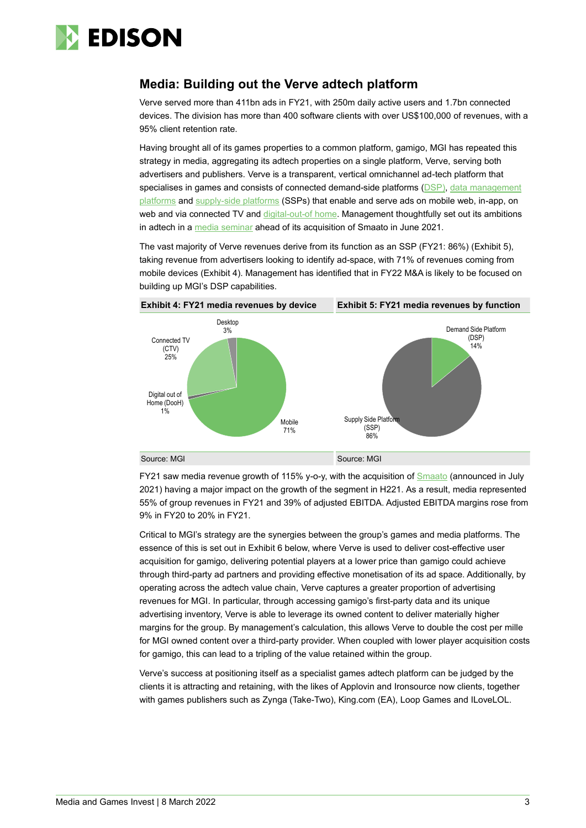

### **Media: Building out the Verve adtech platform**

Verve served more than 411bn ads in FY21, with 250m daily active users and 1.7bn connected devices. The division has more than 400 software clients with over US\$100,000 of revenues, with a 95% client retention rate.

Having brought all of its games properties to a common platform, gamigo, MGI has repeated this strategy in media, aggregating its adtech properties on a single platform, Verve, serving both advertisers and publishers. Verve is a transparent, vertical omnichannel ad-tech platform that specialises in games and consists of connected demand-side platforms [\(DSP\)](https://www.publift.com/blog/what-is-a-demand-side-platform-dsp#:~:text=What%20is%20a%20Demand%2DSide%20Platform%20(DSP)%3F,a%20wide%20range%20of%20publishers.), data management [platforms](https://en.wikipedia.org/wiki/Data_management_platform) and [supply-side platforms](https://en.wikipedia.org/wiki/Supply-side_platform) (SSPs) that enable and serve ads on mobile web, in-app, on web and via connected TV an[d digital-out-of](https://www.clearchannel.co.uk/latest/dooh-advertising-explained-what-are-the-benefits) home. Management thoughtfully set out its ambitions in adtech in a [media seminar](https://mgi-se.com/wp-content/uploads/2021/06/MGI-Media-Seminar-June-2021.pdf) ahead of its acquisition of Smaato in June 2021.

The vast majority of Verve revenues derive from its function as an SSP (FY21: 86%) (Exhibit 5), taking revenue from advertisers looking to identify ad-space, with 71% of revenues coming from mobile devices (Exhibit 4). Management has identified that in FY22 M&A is likely to be focused on building up MGI's DSP capabilities.



FY21 saw media revenue growth of 115% y-o-y, with the acquisition of **Smaato** (announced in July 2021) having a major impact on the growth of the segment in H221. As a result, media represented 55% of group revenues in FY21 and 39% of adjusted EBITDA. Adjusted EBITDA margins rose from 9% in FY20 to 20% in FY21.

Critical to MGI's strategy are the synergies between the group's games and media platforms. The essence of this is set out in Exhibit 6 below, where Verve is used to deliver cost-effective user acquisition for gamigo, delivering potential players at a lower price than gamigo could achieve through third-party ad partners and providing effective monetisation of its ad space. Additionally, by operating across the adtech value chain, Verve captures a greater proportion of advertising revenues for MGI. In particular, through accessing gamigo's first-party data and its unique advertising inventory, Verve is able to leverage its owned content to deliver materially higher margins for the group. By management's calculation, this allows Verve to double the cost per mille for MGI owned content over a third-party provider. When coupled with lower player acquisition costs for gamigo, this can lead to a tripling of the value retained within the group.

Verve's success at positioning itself as a specialist games adtech platform can be judged by the clients it is attracting and retaining, with the likes of Applovin and Ironsource now clients, together with games publishers such as Zynga (Take-Two), King.com (EA), Loop Games and ILoveLOL.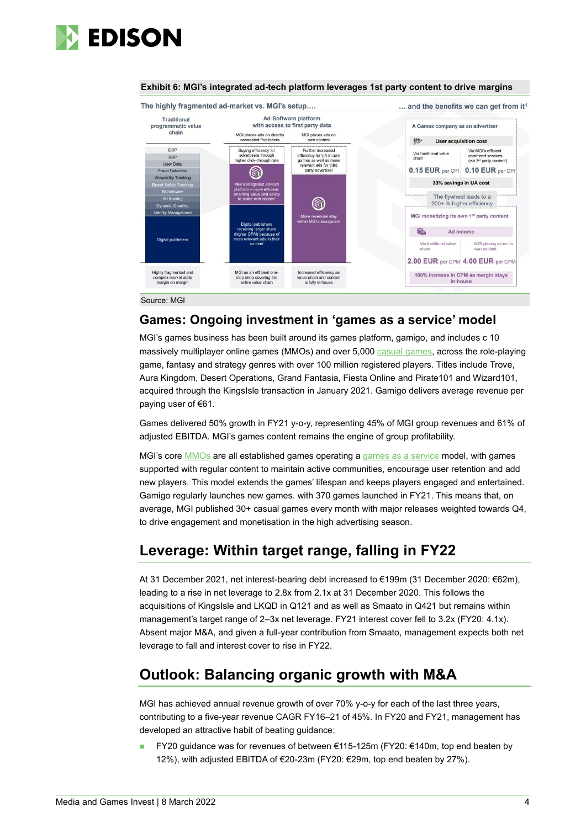



#### **Exhibit 6: MGI's integrated ad-tech platform leverages 1st party content to drive margins**

Source: MGI

### **Games: Ongoing investment in 'games as a service' model**

MGI's games business has been built around its games platform, gamigo, and includes c 10 massively multiplayer online games (MMOs) and over 5,000 casual [games,](https://en.wikipedia.org/wiki/Casual_game) across the role-playing game, fantasy and strategy genres with over 100 million registered players. Titles include Trove, Aura Kingdom, Desert Operations, Grand Fantasia, Fiesta Online and Pirate101 and Wizard101, acquired through the KingsIsle transaction in January 2021. Gamigo delivers average revenue per paying user of €61.

Games delivered 50% growth in FY21 y-o-y, representing 45% of MGI group revenues and 61% of adjusted EBITDA. MGI's games content remains the engine of group profitability.

MGI's cor[e MMOs](https://en.wikipedia.org/wiki/Massively_multiplayer_online_game) are all established games operating [a games as a service](https://en.wikipedia.org/wiki/Games_as_a_service) model, with games supported with regular content to maintain active communities, encourage user retention and add new players. This model extends the games' lifespan and keeps players engaged and entertained. Gamigo regularly launches new games. with 370 games launched in FY21. This means that, on average, MGI published 30+ casual games every month with major releases weighted towards Q4, to drive engagement and monetisation in the high advertising season.

### **Leverage: Within target range, falling in FY22**

At 31 December 2021, net interest-bearing debt increased to €199m (31 December 2020: €62m), leading to a rise in net leverage to 2.8x from 2.1x at 31 December 2020. This follows the acquisitions of KingsIsle and LKQD in Q121 and as well as Smaato in Q421 but remains within management's target range of 2–3x net leverage. FY21 interest cover fell to 3.2x (FY20: 4.1x). Absent major M&A, and given a full-year contribution from Smaato, management expects both net leverage to fall and interest cover to rise in FY22.

### **Outlook: Balancing organic growth with M&A**

MGI has achieved annual revenue growth of over 70% y-o-y for each of the last three years, contributing to a five-year revenue CAGR FY16–21 of 45%. In FY20 and FY21, management has developed an attractive habit of beating guidance:

■ FY20 guidance was for revenues of between €115-125m (FY20: €140m, top end beaten by 12%), with adjusted EBITDA of €20-23m (FY20: €29m, top end beaten by 27%).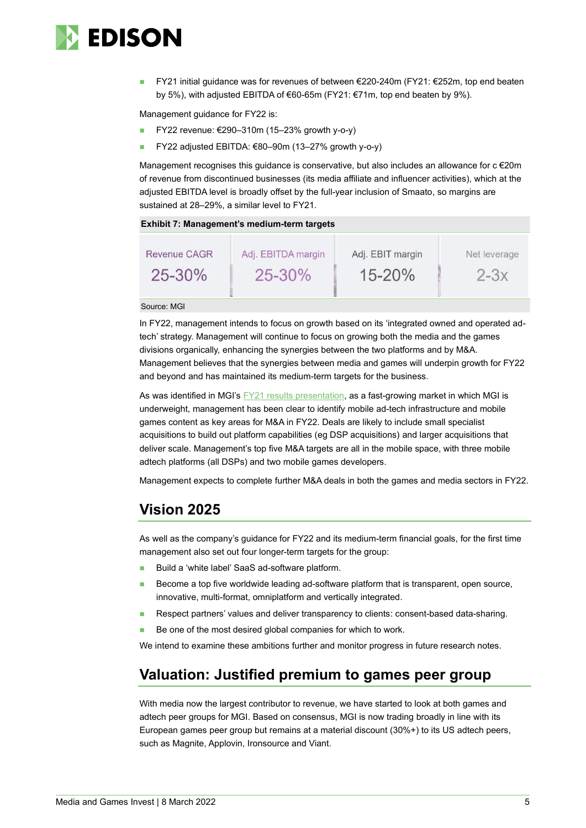

◼ FY21 initial guidance was for revenues of between €220-240m (FY21: €252m, top end beaten by 5%), with adjusted EBITDA of €60-65m (FY21: €71m, top end beaten by 9%).

Management guidance for FY22 is:

- ◼ FY22 revenue: €290–310m (15–23% growth y-o-y)
- FY22 adjusted EBITDA: €80–90m (13–27% growth y-o-y)

Management recognises this guidance is conservative, but also includes an allowance for  $c \in 20$ m of revenue from discontinued businesses (its media affiliate and influencer activities), which at the adjusted EBITDA level is broadly offset by the full-year inclusion of Smaato, so margins are sustained at 28–29%, a similar level to FY21.

| Exhibit 7: Management's medium-term targets |                                   |                                |                        |  |  |  |  |  |  |  |
|---------------------------------------------|-----------------------------------|--------------------------------|------------------------|--|--|--|--|--|--|--|
| <b>Revenue CAGR</b><br>$25 - 30\%$          | Adj. EBITDA margin<br>$25 - 30\%$ | Adj. EBIT margin<br>$15 - 20%$ | Net leverage<br>$2-3x$ |  |  |  |  |  |  |  |
|                                             |                                   |                                |                        |  |  |  |  |  |  |  |

Source: MGI

In FY22, management intends to focus on growth based on its 'integrated owned and operated adtech' strategy. Management will continue to focus on growing both the media and the games divisions organically, enhancing the synergies between the two platforms and by M&A. Management believes that the synergies between media and games will underpin growth for FY22 and beyond and has maintained its medium-term targets for the business.

As was identified in MGI's **FY21** results presentation, as a fast-growing market in which MGI is underweight, management has been clear to identify mobile ad-tech infrastructure and mobile games content as key areas for M&A in FY22. Deals are likely to include small specialist acquisitions to build out platform capabilities (eg DSP acquisitions) and larger acquisitions that deliver scale. Management's top five M&A targets are all in the mobile space, with three mobile adtech platforms (all DSPs) and two mobile games developers.

Management expects to complete further M&A deals in both the games and media sectors in FY22.

### **Vision 2025**

As well as the company's guidance for FY22 and its medium-term financial goals, for the first time management also set out four longer-term targets for the group:

- Build a 'white label' SaaS ad-software platform.
- Become a top five worldwide leading ad-software platform that is transparent, open source, innovative, multi-format, omniplatform and vertically integrated.
- Respect partners' values and deliver transparency to clients: consent-based data-sharing.
- Be one of the most desired global companies for which to work.

We intend to examine these ambitions further and monitor progress in future research notes.

### **Valuation: Justified premium to games peer group**

With media now the largest contributor to revenue, we have started to look at both games and adtech peer groups for MGI. Based on consensus, MGI is now trading broadly in line with its European games peer group but remains at a material discount (30%+) to its US adtech peers, such as Magnite, Applovin, Ironsource and Viant.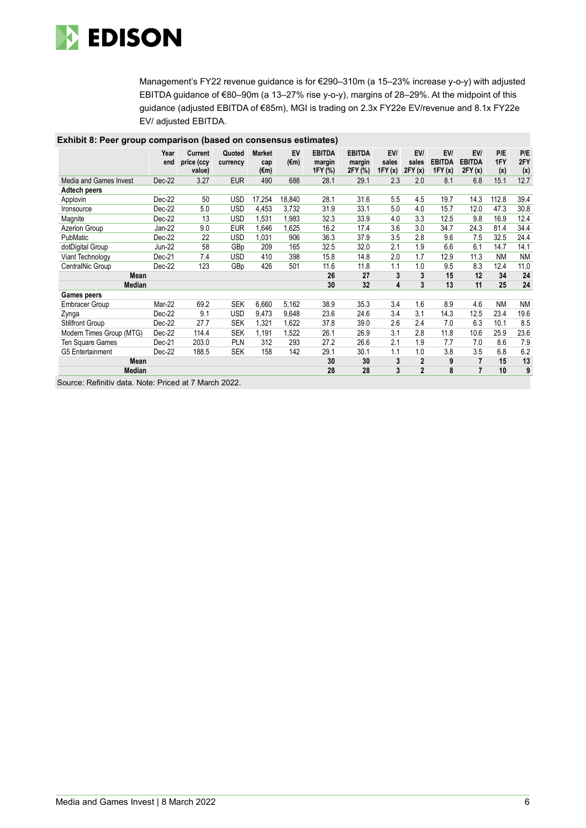

Management's FY22 revenue guidance is for €290–310m (a 15–23% increase y-o-y) with adjusted EBITDA guidance of €80–90m (a 13–27% rise y-o-y), margins of 28–29%. At the midpoint of this guidance (adjusted EBITDA of €85m), MGI is trading on 2.3x FY22e EV/revenue and 8.1x FY22e EV/ adjusted EBITDA.

| Exilibit 6. Feer group comparison (based on consensus estimates) |               |                                        |                    |                              |                      |                                    |                                    |                        |                        |                                |                                 |                   |                   |
|------------------------------------------------------------------|---------------|----------------------------------------|--------------------|------------------------------|----------------------|------------------------------------|------------------------------------|------------------------|------------------------|--------------------------------|---------------------------------|-------------------|-------------------|
|                                                                  | Year<br>end   | <b>Current</b><br>price (ccy<br>value) | Quoted<br>currency | <b>Market</b><br>cap<br>(€m) | EV<br>$(\epsilon m)$ | <b>EBITDA</b><br>margin<br>1FY (%) | <b>EBITDA</b><br>margin<br>2FY (%) | EV/<br>sales<br>1FY(x) | EV/<br>sales<br>2FY(x) | EV/<br><b>EBITDA</b><br>1FY(x) | EVI<br><b>EBITDA</b><br>2FY (x) | P/E<br>1FY<br>(x) | P/E<br>2FY<br>(x) |
| Media and Games Invest                                           | Dec-22        | 3.27                                   | <b>EUR</b>         | 490                          | 688                  | 28.1                               | 29.1                               | 2.3                    | 2.0                    | 8.1                            | 6.8                             | 15.1              | 12.7              |
| Adtech peers                                                     |               |                                        |                    |                              |                      |                                    |                                    |                        |                        |                                |                                 |                   |                   |
| Applovin                                                         | Dec-22        | 50                                     | <b>USD</b>         | 17,254                       | 18,840               | 28.1                               | 31.6                               | 5.5                    | 4.5                    | 19.7                           | 14.3                            | 112.8             | 39.4              |
| <b>Ironsource</b>                                                | Dec-22        | 5.0                                    | <b>USD</b>         | 4,453                        | 3,732                | 31.9                               | 33.1                               | 5.0                    | 4.0                    | 15.7                           | 12.0                            | 47.3              | 30.8              |
| Magnite                                                          | Dec-22        | 13                                     | <b>USD</b>         | 1,531                        | 1,983                | 32.3                               | 33.9                               | 4.0                    | 3.3                    | 12.5                           | 9.8                             | 16.9              | 12.4              |
| Azerion Group                                                    | Jan-22        | 9.0                                    | <b>EUR</b>         | 1,646                        | 1,625                | 16.2                               | 17.4                               | 3.6                    | 3.0                    | 34.7                           | 24.3                            | 81.4              | 34.4              |
| PubMatic                                                         | Dec-22        | 22                                     | USD                | 1,031                        | 906                  | 36.3                               | 37.9                               | 3.5                    | 2.8                    | 9.6                            | 7.5                             | 32.5              | 24.4              |
| dotDigital Group                                                 | <b>Jun-22</b> | 58                                     | GBp                | 209                          | 165                  | 32.5                               | 32.0                               | 2.1                    | 1.9                    | 6.6                            | 6.1                             | 14.7              | 14.1              |
| Viant Technology                                                 | Dec-21        | 7.4                                    | <b>USD</b>         | 410                          | 398                  | 15.8                               | 14.8                               | 2.0                    | 1.7                    | 12.9                           | 11.3                            | <b>NM</b>         | <b>NM</b>         |
| CentralNic Group                                                 | Dec-22        | 123                                    | GBp                | 426                          | 501                  | 11.6                               | 11.8                               | 1.1                    | 1.0                    | 9.5                            | 8.3                             | 12.4              | 11.0              |
| Mean                                                             |               |                                        |                    |                              |                      | 26                                 | 27                                 | 3                      | 3                      | 15                             | 12                              | 34                | 24                |
| Median                                                           |               |                                        |                    |                              |                      | 30                                 | 32                                 | 4                      | 3                      | 13                             | 11                              | 25                | 24                |
| <b>Games peers</b>                                               |               |                                        |                    |                              |                      |                                    |                                    |                        |                        |                                |                                 |                   |                   |
| Embracer Group                                                   | Mar-22        | 69.2                                   | <b>SEK</b>         | 6,660                        | 5,162                | 38.9                               | 35.3                               | 3.4                    | 1.6                    | 8.9                            | 4.6                             | <b>NM</b>         | <b>NM</b>         |
| Zynga                                                            | Dec-22        | 9.1                                    | <b>USD</b>         | 9,473                        | 9,648                | 23.6                               | 24.6                               | 3.4                    | 3.1                    | 14.3                           | 12.5                            | 23.4              | 19.6              |
| <b>Stillfront Group</b>                                          | Dec-22        | 27.7                                   | <b>SEK</b>         | 1,321                        | 1,622                | 37.8                               | 39.0                               | 2.6                    | 2.4                    | 7.0                            | 6.3                             | 10.1              | 8.5               |
| Modern Times Group (MTG)                                         | Dec-22        | 114.4                                  | <b>SEK</b>         | 1,191                        | 1,522                | 26.1                               | 26.9                               | 3.1                    | 2.8                    | 11.8                           | 10.6                            | 25.9              | 23.6              |
| Ten Square Games                                                 | Dec-21        | 203.0                                  | PLN                | 312                          | 293                  | 27.2                               | 26.6                               | 2.1                    | 1.9                    | 7.7                            | 7.0                             | 8.6               | 7.9               |
| G5 Entertainment                                                 | Dec-22        | 188.5                                  | <b>SEK</b>         | 158                          | 142                  | 29.1                               | 30.1                               | 1.1                    | 1.0                    | 3.8                            | 3.5                             | 6.8               | 6.2               |
| Mean                                                             |               |                                        |                    |                              |                      | 30                                 | 30                                 | 3                      | $\overline{2}$         | 9                              | $\overline{7}$                  | 15                | 13                |
| Median                                                           |               |                                        |                    |                              |                      | 28                                 | 28                                 | 3                      | $\overline{2}$         | 8                              | $\overline{7}$                  | 10                | 9                 |

### **Exhibit 8: Peer group comparison (based on consensus estimates)**

Source: Refinitiv data. Note: Priced at 7 March 2022.